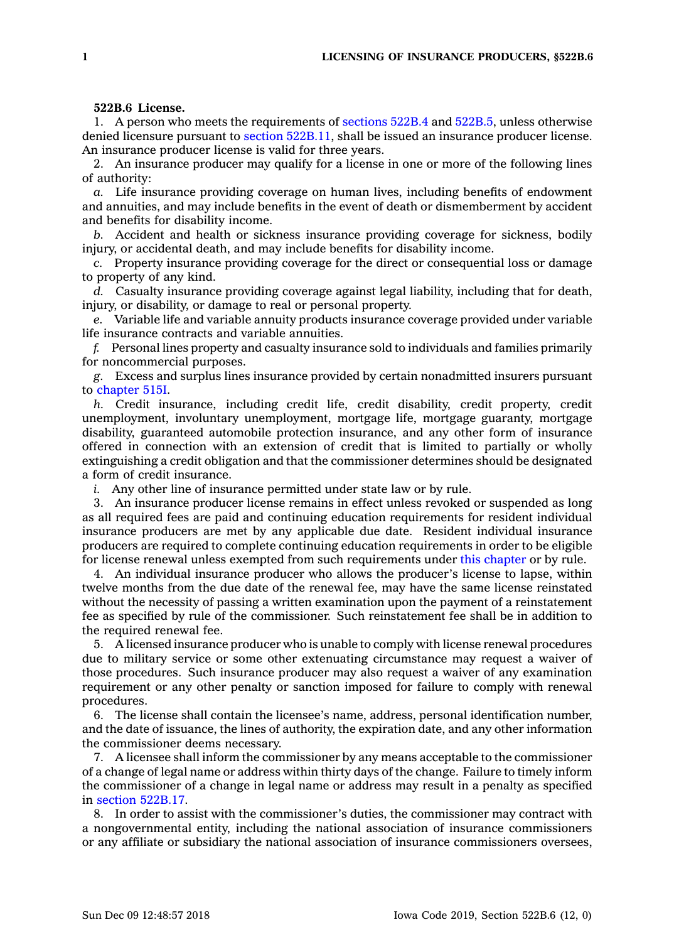## **522B.6 License.**

1. A person who meets the requirements of [sections](https://www.legis.iowa.gov/docs/code/522B.4.pdf) 522B.4 and [522B.5](https://www.legis.iowa.gov/docs/code/522B.5.pdf), unless otherwise denied licensure pursuant to section [522B.11](https://www.legis.iowa.gov/docs/code/522B.11.pdf), shall be issued an insurance producer license. An insurance producer license is valid for three years.

2. An insurance producer may qualify for <sup>a</sup> license in one or more of the following lines of authority:

*a.* Life insurance providing coverage on human lives, including benefits of endowment and annuities, and may include benefits in the event of death or dismemberment by accident and benefits for disability income.

*b.* Accident and health or sickness insurance providing coverage for sickness, bodily injury, or accidental death, and may include benefits for disability income.

*c.* Property insurance providing coverage for the direct or consequential loss or damage to property of any kind.

*d.* Casualty insurance providing coverage against legal liability, including that for death, injury, or disability, or damage to real or personal property.

*e.* Variable life and variable annuity products insurance coverage provided under variable life insurance contracts and variable annuities.

*f.* Personal lines property and casualty insurance sold to individuals and families primarily for noncommercial purposes.

*g.* Excess and surplus lines insurance provided by certain nonadmitted insurers pursuant to [chapter](https://www.legis.iowa.gov/docs/code//515I.pdf) 515I.

*h.* Credit insurance, including credit life, credit disability, credit property, credit unemployment, involuntary unemployment, mortgage life, mortgage guaranty, mortgage disability, guaranteed automobile protection insurance, and any other form of insurance offered in connection with an extension of credit that is limited to partially or wholly extinguishing <sup>a</sup> credit obligation and that the commissioner determines should be designated <sup>a</sup> form of credit insurance.

*i.* Any other line of insurance permitted under state law or by rule.

3. An insurance producer license remains in effect unless revoked or suspended as long as all required fees are paid and continuing education requirements for resident individual insurance producers are met by any applicable due date. Resident individual insurance producers are required to complete continuing education requirements in order to be eligible for license renewal unless exempted from such requirements under this [chapter](https://www.legis.iowa.gov/docs/code//522B.pdf) or by rule.

4. An individual insurance producer who allows the producer's license to lapse, within twelve months from the due date of the renewal fee, may have the same license reinstated without the necessity of passing <sup>a</sup> written examination upon the payment of <sup>a</sup> reinstatement fee as specified by rule of the commissioner. Such reinstatement fee shall be in addition to the required renewal fee.

5. A licensed insurance producer who is unable to comply with license renewal procedures due to military service or some other extenuating circumstance may request <sup>a</sup> waiver of those procedures. Such insurance producer may also request <sup>a</sup> waiver of any examination requirement or any other penalty or sanction imposed for failure to comply with renewal procedures.

6. The license shall contain the licensee's name, address, personal identification number, and the date of issuance, the lines of authority, the expiration date, and any other information the commissioner deems necessary.

7. A licensee shall inform the commissioner by any means acceptable to the commissioner of <sup>a</sup> change of legal name or address within thirty days of the change. Failure to timely inform the commissioner of <sup>a</sup> change in legal name or address may result in <sup>a</sup> penalty as specified in section [522B.17](https://www.legis.iowa.gov/docs/code/522B.17.pdf).

8. In order to assist with the commissioner's duties, the commissioner may contract with <sup>a</sup> nongovernmental entity, including the national association of insurance commissioners or any affiliate or subsidiary the national association of insurance commissioners oversees,